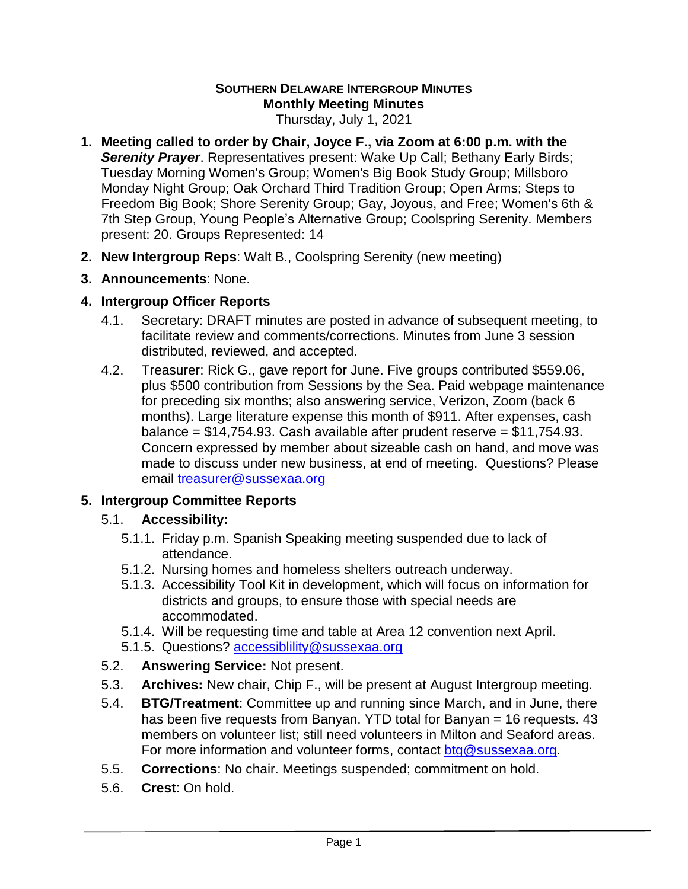# **SOUTHERN DELAWARE INTERGROUP MINUTES Monthly Meeting Minutes**

Thursday, July 1, 2021

- **1. Meeting called to order by Chair, Joyce F., via Zoom at 6:00 p.m. with the Serenity Prayer**. Representatives present: Wake Up Call; Bethany Early Birds; Tuesday Morning Women's Group; Women's Big Book Study Group; Millsboro Monday Night Group; Oak Orchard Third Tradition Group; Open Arms; Steps to Freedom Big Book; Shore Serenity Group; Gay, Joyous, and Free; Women's 6th & 7th Step Group, Young People's Alternative Group; Coolspring Serenity. Members present: 20. Groups Represented: 14
- **2. New Intergroup Reps**: Walt B., Coolspring Serenity (new meeting)
- **3. Announcements**: None.

### **4. Intergroup Officer Reports**

- 4.1. Secretary: DRAFT minutes are posted in advance of subsequent meeting, to facilitate review and comments/corrections. Minutes from June 3 session distributed, reviewed, and accepted.
- 4.2. Treasurer: Rick G., gave report for June. Five groups contributed \$559.06, plus \$500 contribution from Sessions by the Sea. Paid webpage maintenance for preceding six months; also answering service, Verizon, Zoom (back 6 months). Large literature expense this month of \$911. After expenses, cash balance =  $$14,754.93$ . Cash available after prudent reserve =  $$11,754.93$ . Concern expressed by member about sizeable cash on hand, and move was made to discuss under new business, at end of meeting. Questions? Please email [treasurer@sussexaa.org](mailto:treasurer@sussexaa.org)

### **5. Intergroup Committee Reports**

### 5.1. **Accessibility:**

- 5.1.1. Friday p.m. Spanish Speaking meeting suspended due to lack of attendance.
- 5.1.2. Nursing homes and homeless shelters outreach underway.
- 5.1.3. Accessibility Tool Kit in development, which will focus on information for districts and groups, to ensure those with special needs are accommodated.
- 5.1.4. Will be requesting time and table at Area 12 convention next April.
- 5.1.5. Questions? [accessiblility@sussexaa.org](mailto:accessiblility@sussexaa.org)
- 5.2. **Answering Service:** Not present.
- 5.3. **Archives:** New chair, Chip F., will be present at August Intergroup meeting.
- 5.4. **BTG/Treatment**: Committee up and running since March, and in June, there has been five requests from Banyan. YTD total for Banyan = 16 requests. 43 members on volunteer list; still need volunteers in Milton and Seaford areas. For more information and volunteer forms, contact [btg@sussexaa.org.](mailto:btg@sussexaa.org)
- 5.5. **Corrections**: No chair. Meetings suspended; commitment on hold.
- 5.6. **Crest**: On hold.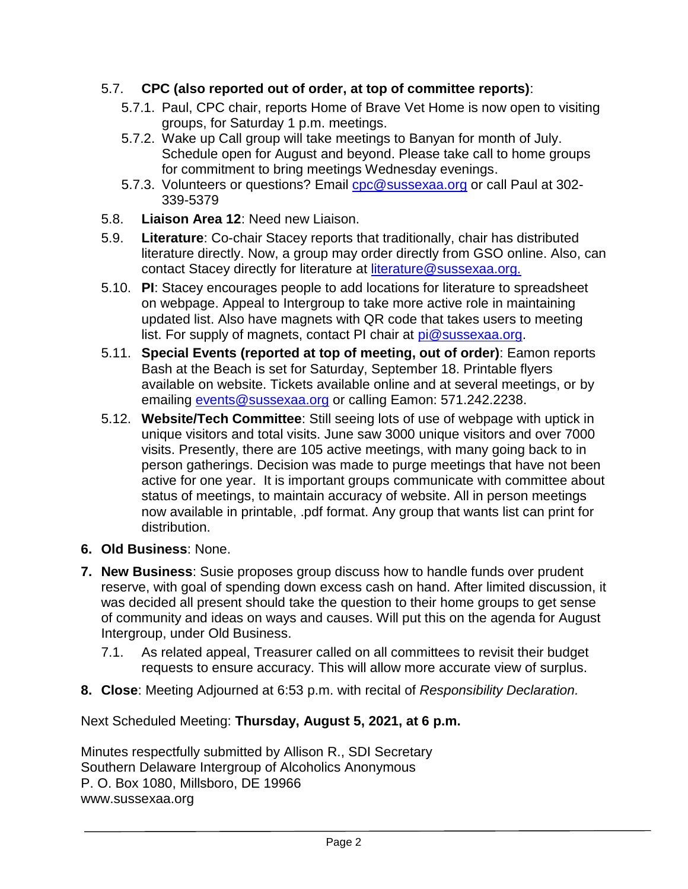# 5.7. **CPC (also reported out of order, at top of committee reports)**:

- 5.7.1. Paul, CPC chair, reports Home of Brave Vet Home is now open to visiting groups, for Saturday 1 p.m. meetings.
- 5.7.2. Wake up Call group will take meetings to Banyan for month of July. Schedule open for August and beyond. Please take call to home groups for commitment to bring meetings Wednesday evenings.
- 5.7.3. Volunteers or questions? Email [cpc@sussexaa.org](mailto:cpc@sussexaa.org) or call Paul at 302-339-5379
- 5.8. **Liaison Area 12**: Need new Liaison.
- 5.9. **Literature**: Co-chair Stacey reports that traditionally, chair has distributed literature directly. Now, a group may order directly from GSO online. Also, can contact Stacey directly for literature at [literature@sussexaa.org.](mailto:literature@sussexaa.org.)
- 5.10. **PI**: Stacey encourages people to add locations for literature to spreadsheet on webpage. Appeal to Intergroup to take more active role in maintaining updated list. Also have magnets with QR code that takes users to meeting list. For supply of magnets, contact PI chair at [pi@sussexaa.org.](mailto:pi@sussexaa.org)
- 5.11. **Special Events (reported at top of meeting, out of order)**: Eamon reports Bash at the Beach is set for Saturday, September 18. Printable flyers available on website. Tickets available online and at several meetings, or by emailing [events@sussexaa.org](mailto:events@sussexaa.org) or calling Eamon: 571.242.2238.
- 5.12. **Website/Tech Committee**: Still seeing lots of use of webpage with uptick in unique visitors and total visits. June saw 3000 unique visitors and over 7000 visits. Presently, there are 105 active meetings, with many going back to in person gatherings. Decision was made to purge meetings that have not been active for one year. It is important groups communicate with committee about status of meetings, to maintain accuracy of website. All in person meetings now available in printable, .pdf format. Any group that wants list can print for distribution.
- **6. Old Business**: None.
- **7. New Business**: Susie proposes group discuss how to handle funds over prudent reserve, with goal of spending down excess cash on hand. After limited discussion, it was decided all present should take the question to their home groups to get sense of community and ideas on ways and causes. Will put this on the agenda for August Intergroup, under Old Business.
	- 7.1. As related appeal, Treasurer called on all committees to revisit their budget requests to ensure accuracy. This will allow more accurate view of surplus.
- **8. Close**: Meeting Adjourned at 6:53 p.m. with recital of *Responsibility Declaration.*

Next Scheduled Meeting: **Thursday, August 5, 2021, at 6 p.m.**

Minutes respectfully submitted by Allison R., SDI Secretary Southern Delaware Intergroup of Alcoholics Anonymous P. O. Box 1080, Millsboro, DE 19966 www.sussexaa.org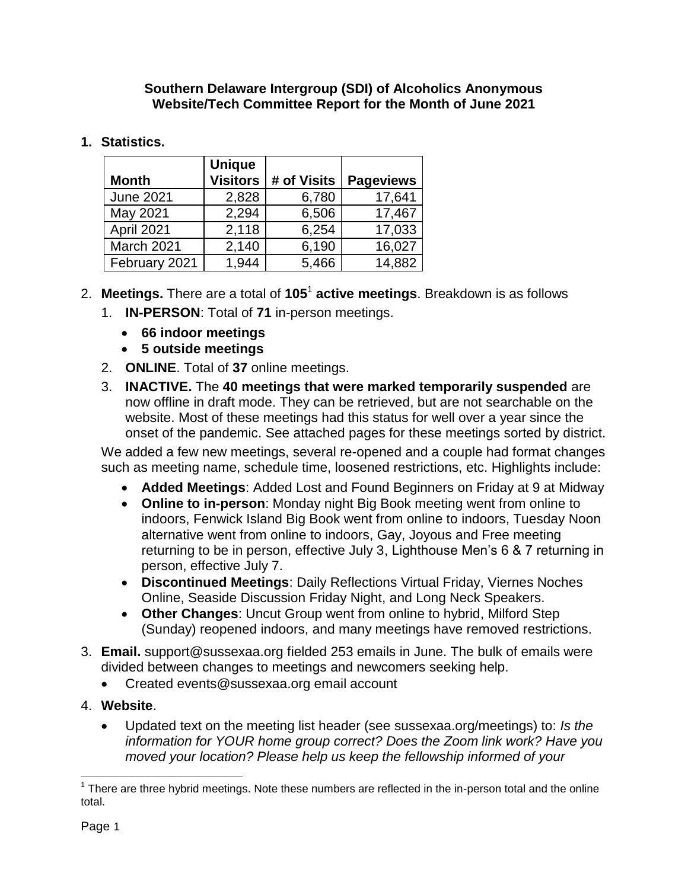#### **Southern Delaware Intergroup (SDI) of Alcoholics Anonymous Website/Tech Committee Report for the Month of June 2021**

# **1. Statistics.**

| <b>Month</b>     | <b>Unique</b><br><b>Visitors</b> | # of Visits | <b>Pageviews</b> |
|------------------|----------------------------------|-------------|------------------|
| <b>June 2021</b> | 2,828                            | 6,780       | 17,641           |
| May 2021         | 2,294                            | 6,506       | 17,467           |
| April 2021       | 2,118                            | 6,254       | 17,033           |
| March 2021       | 2,140                            | 6,190       | 16,027           |
| February 2021    | 1,944                            | 5,466       | 14,882           |

- 2. Meetings. There are a total of 105<sup>1</sup> active meetings. Breakdown is as follows
	- 1. **IN-PERSON**: Total of **71** in-person meetings.
		- **66 indoor meetings**
		- **5 outside meetings**
	- 2. **ONLINE**. Total of **37** online meetings.
	- 3. **INACTIVE.** The **40 meetings that were marked temporarily suspended** are now offline in draft mode. They can be retrieved, but are not searchable on the website. Most of these meetings had this status for well over a year since the onset of the pandemic. See attached pages for these meetings sorted by district.

We added a few new meetings, several re-opened and a couple had format changes such as meeting name, schedule time, loosened restrictions, etc. Highlights include:

- **Added Meetings**: Added Lost and Found Beginners on Friday at 9 at Midway
- **Online to in-person**: Monday night Big Book meeting went from online to indoors, Fenwick Island Big Book went from online to indoors, Tuesday Noon alternative went from online to indoors, Gay, Joyous and Free meeting returning to be in person, effective July 3, Lighthouse Men's 6 & 7 returning in person, effective July 7.
- **Discontinued Meetings**: Daily Reflections Virtual Friday, Viernes Noches Online, Seaside Discussion Friday Night, and Long Neck Speakers.
- **Other Changes**: Uncut Group went from online to hybrid, Milford Step (Sunday) reopened indoors, and many meetings have removed restrictions.
- 3. **Email.** support@sussexaa.org fielded 253 emails in June. The bulk of emails were divided between changes to meetings and newcomers seeking help.
	- Created events@sussexaa.org email account
- 4. **Website**.
	- Updated text on the meeting list header (see sussexaa.org/meetings) to: *Is the information for YOUR home group correct? Does the Zoom link work? Have you moved your location? Please help us keep the fellowship informed of your*

 $\overline{a}$  $1$  There are three hybrid meetings. Note these numbers are reflected in the in-person total and the online total.